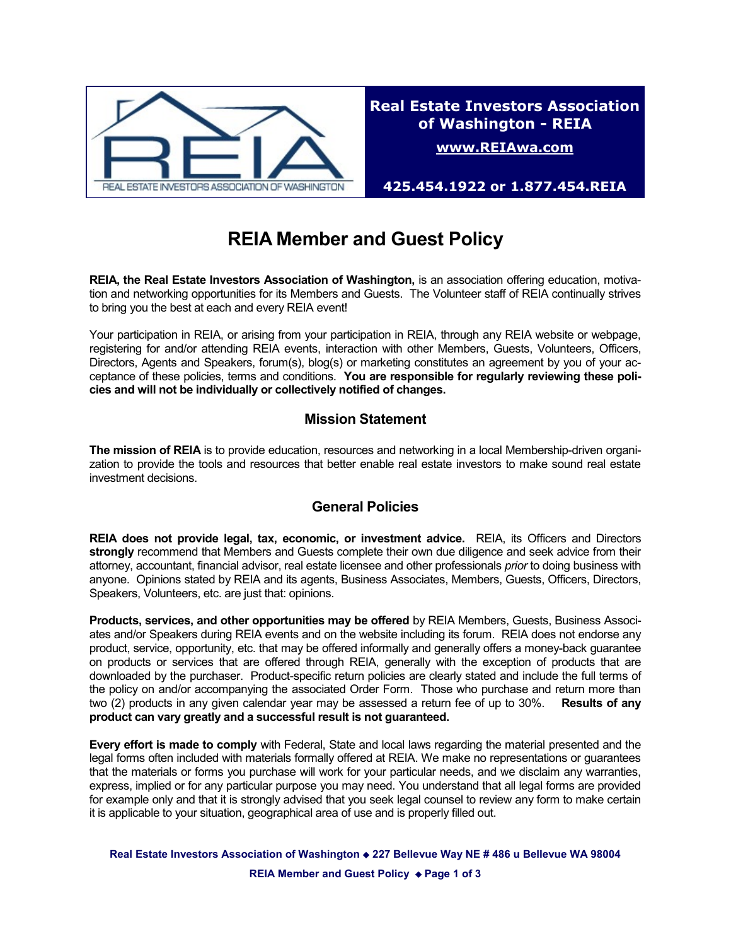

**425.454.1922 or 1.877.454.REIA**

# **REIA Member and Guest Policy**

**REIA, the Real Estate Investors Association of Washington,** is an association offering education, motivation and networking opportunities for its Members and Guests. The Volunteer staff of REIA continually strives to bring you the best at each and every REIA event!

Your participation in REIA, or arising from your participation in REIA, through any REIA website or webpage, registering for and/or attending REIA events, interaction with other Members, Guests, Volunteers, Officers, Directors, Agents and Speakers, forum(s), blog(s) or marketing constitutes an agreement by you of your acceptance of these policies, terms and conditions. **You are responsible for regularly reviewing these policies and will not be individually or collectively notified of changes.**

# **Mission Statement**

**The mission of REIA** is to provide education, resources and networking in a local Membership-driven organization to provide the tools and resources that better enable real estate investors to make sound real estate investment decisions.

# **General Policies**

**REIA does not provide legal, tax, economic, or investment advice.** REIA, its Officers and Directors **strongly** recommend that Members and Guests complete their own due diligence and seek advice from their attorney, accountant, financial advisor, real estate licensee and other professionals *prior* to doing business with anyone. Opinions stated by REIA and its agents, Business Associates, Members, Guests, Officers, Directors, Speakers, Volunteers, etc. are just that: opinions.

**Products, services, and other opportunities may be offered** by REIA Members, Guests, Business Associates and/or Speakers during REIA events and on the website including its forum. REIA does not endorse any product, service, opportunity, etc. that may be offered informally and generally offers a money-back guarantee on products or services that are offered through REIA, generally with the exception of products that are downloaded by the purchaser. Product-specific return policies are clearly stated and include the full terms of the policy on and/or accompanying the associated Order Form. Those who purchase and return more than two (2) products in any given calendar year may be assessed a return fee of up to 30%. **Results of any product can vary greatly and a successful result is not guaranteed.** 

**Every effort is made to comply** with Federal, State and local laws regarding the material presented and the legal forms often included with materials formally offered at REIA. We make no representations or guarantees that the materials or forms you purchase will work for your particular needs, and we disclaim any warranties, express, implied or for any particular purpose you may need. You understand that all legal forms are provided for example only and that it is strongly advised that you seek legal counsel to review any form to make certain it is applicable to your situation, geographical area of use and is properly filled out.

Real Estate Investors Association of Washington  $\triangle$  227 Bellevue Way NE # 486 u Bellevue WA 98004 **REIA Member and Guest Policy ♦ Page 1 of 3**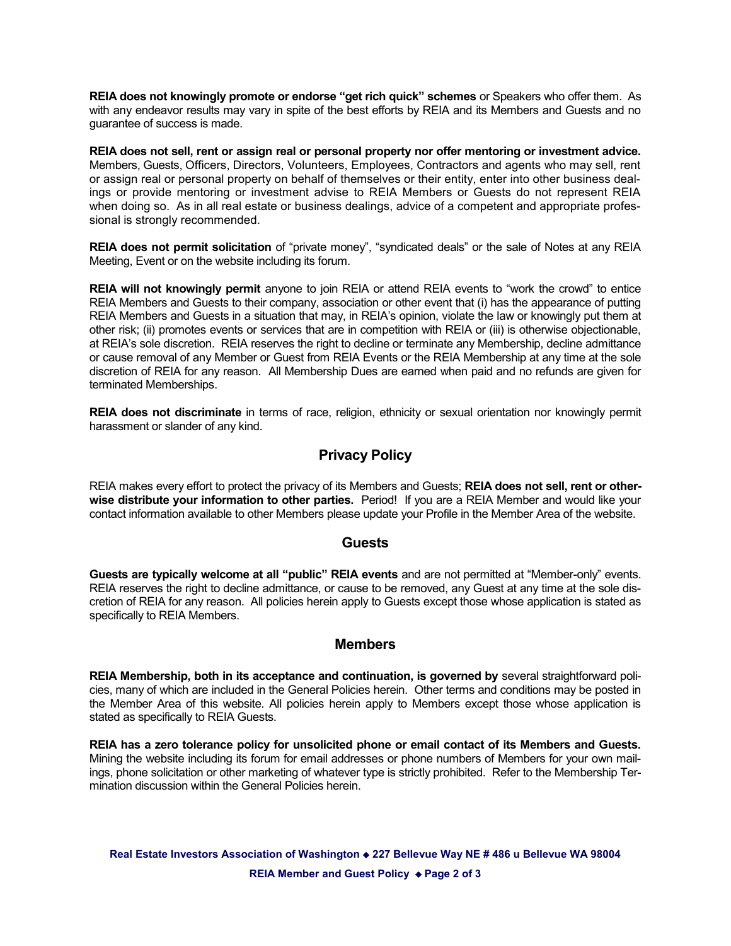**REIA does not knowingly promote or endorse "get rich quick" schemes** or Speakers who offer them. As with any endeavor results may vary in spite of the best efforts by REIA and its Members and Guests and no guarantee of success is made.

**REIA does not sell, rent or assign real or personal property nor offer mentoring or investment advice.** Members, Guests, Officers, Directors, Volunteers, Employees, Contractors and agents who may sell, rent or assign real or personal property on behalf of themselves or their entity, enter into other business dealings or provide mentoring or investment advise to REIA Members or Guests do not represent REIA when doing so. As in all real estate or business dealings, advice of a competent and appropriate professional is strongly recommended.

**REIA does not permit solicitation** of "private money", "syndicated deals" or the sale of Notes at any REIA Meeting, Event or on the website including its forum.

**REIA will not knowingly permit** anyone to join REIA or attend REIA events to "work the crowd" to entice REIA Members and Guests to their company, association or other event that (i) has the appearance of putting REIA Members and Guests in a situation that may, in REIA's opinion, violate the law or knowingly put them at other risk; (ii) promotes events or services that are in competition with REIA or (iii) is otherwise objectionable, at REIA's sole discretion. REIA reserves the right to decline or terminate any Membership, decline admittance or cause removal of any Member or Guest from REIA Events or the REIA Membership at any time at the sole discretion of REIA for any reason. All Membership Dues are earned when paid and no refunds are given for terminated Memberships.

**REIA does not discriminate** in terms of race, religion, ethnicity or sexual orientation nor knowingly permit harassment or slander of any kind.

## **Privacy Policy**

REIA makes every effort to protect the privacy of its Members and Guests; **REIA does not sell, rent or otherwise distribute your information to other parties.** Period! If you are a REIA Member and would like your contact information available to other Members please update your Profile in the Member Area of the website.

#### **Guests**

**Guests are typically welcome at all "public" REIA events** and are not permitted at "Member-only" events. REIA reserves the right to decline admittance, or cause to be removed, any Guest at any time at the sole discretion of REIA for any reason. All policies herein apply to Guests except those whose application is stated as specifically to REIA Members.

### **Members**

**REIA Membership, both in its acceptance and continuation, is governed by** several straightforward policies, many of which are included in the General Policies herein. Other terms and conditions may be posted in the Member Area of this website. All policies herein apply to Members except those whose application is stated as specifically to REIA Guests.

**REIA has a zero tolerance policy for unsolicited phone or email contact of its Members and Guests.** Mining the website including its forum for email addresses or phone numbers of Members for your own mailings, phone solicitation or other marketing of whatever type is strictly prohibited. Refer to the Membership Termination discussion within the General Policies herein.